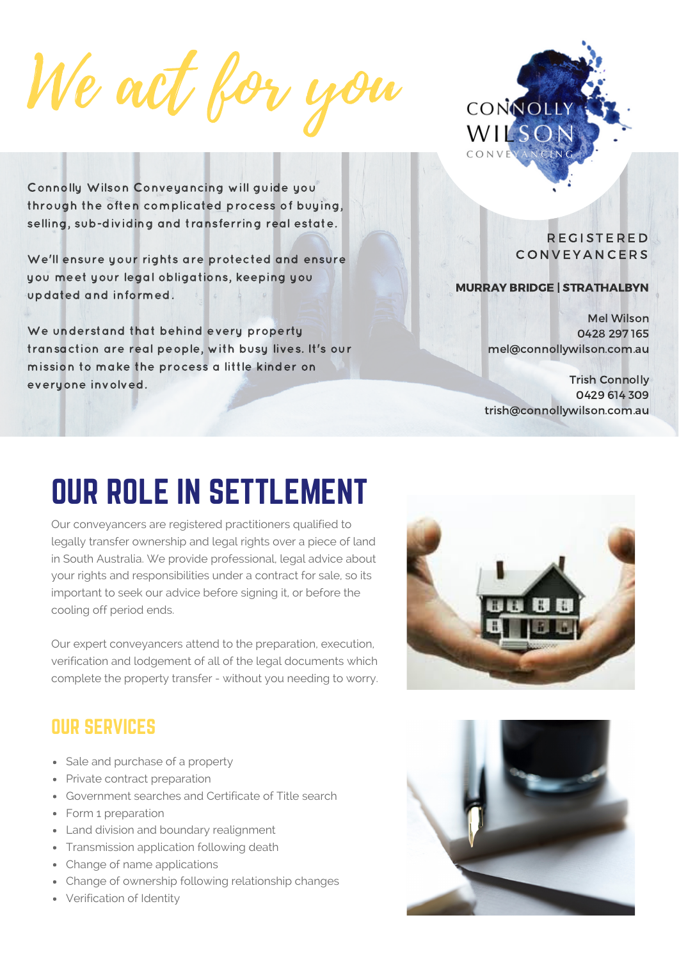We act for you



Connolly Wilson Conveyancing will guide you through the often complicated process of buying, selling, sub-dividing and transferring real estate.

We'll ensure your rights are protected and ensure you meet your legal obligations, keeping you updated and informed.

We understand that behind every property transaction are real people, with busy lives. It's our mission to make the process a little kinder on everyone involved.

R E G I S T E R E D **CONVEYANCERS** 

#### MURRAY BRIDGE | STRATHALBYN

Mel Wilson 0428 297 165 mel@connollywilson.com.au

Trish Connolly 0429 614 309 trish@connollywilson.com.au

# OUR ROLE IN SETTLEMENT

Our conveyancers are registered practitioners qualified to legally transfer ownership and legal rights over a piece of land in South Australia. We provide professional, legal advice about your rights and responsibilities under a contract for sale, so its important to seek our advice before signing it, or before the cooling off period ends.

Our expert conveyancers attend to the preparation, execution, verification and lodgement of all of the legal documents which complete the property transfer - without you needing to worry.



#### OUR SERVICES

- Sale and purchase of a property
- Private contract preparation
- Government searches and Certificate of Title search
- Form 1 preparation
- Land division and boundary realignment
- Transmission application following death
- Change of name applications
- Change of ownership following relationship changes
- Verification of Identity